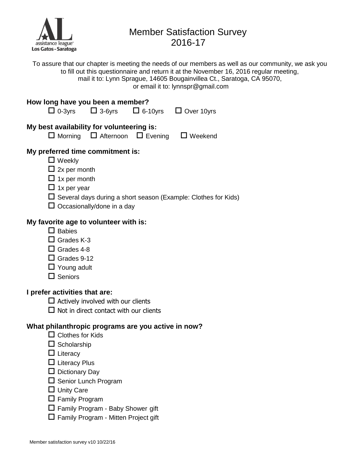

# Member Satisfaction Survey 2016-17

To assure that our chapter is meeting the needs of our members as well as our community, we ask you to fill out this questionnaire and return it at the November 16, 2016 regular meeting, mail it to: Lynn Sprague, 14605 Bougainvillea Ct., Saratoga, CA 95070, or email it to: lynnspr@gmail.com

# **How long have you been a member?**   $\Box$  0-3yrs  $\Box$  3-6yrs  $\Box$  6-10yrs  $\Box$  Over 10yrs **My best availability for volunteering is:**  $\Box$  Morning  $\Box$  Afternoon  $\Box$  Evening  $\Box$  Weekend **My preferred time commitment is:** ■ Weekly  $\Box$  2x per month  $\Box$  1x per month  $\Box$  1x per year  $\square$  Several days during a short season (Example: Clothes for Kids)  $\square$  Occasionally/done in a day **My favorite age to volunteer with is:**  $\Box$  Babies

- 
- □ Grades K-3
- $\Box$  Grades 4-8
- $\Box$  Grades 9-12
- $\Box$  Young adult
- $\Box$  Seniors

### **I prefer activities that are:**

- $\square$  Actively involved with our clients
- $\Box$  Not in direct contact with our clients

## **What philanthropic programs are you active in now?**

- $\Box$  Clothes for Kids
- $\square$  Scholarship
- $\Box$  Literacy
- $\square$  Literacy Plus
- $\square$  Dictionary Day
- $\square$  Senior Lunch Program
- □ Unity Care
- $\Box$  Family Program
- Family Program Baby Shower gift
- $\square$  Family Program Mitten Project gift